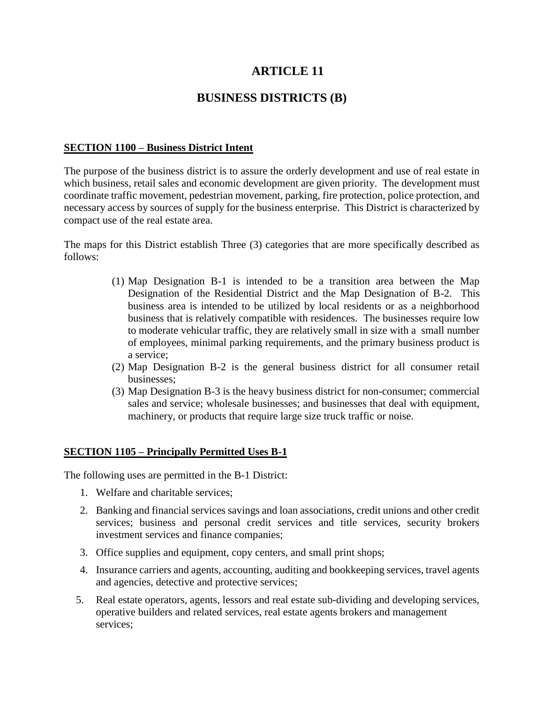# **ARTICLE 11**

## **BUSINESS DISTRICTS (B)**

### **SECTION 1100 – Business District Intent**

The purpose of the business district is to assure the orderly development and use of real estate in which business, retail sales and economic development are given priority. The development must coordinate traffic movement, pedestrian movement, parking, fire protection, police protection, and necessary access by sources of supply for the business enterprise. This District is characterized by compact use of the real estate area.

The maps for this District establish Three (3) categories that are more specifically described as follows:

- (1) Map Designation B-1 is intended to be a transition area between the Map Designation of the Residential District and the Map Designation of B-2. This business area is intended to be utilized by local residents or as a neighborhood business that is relatively compatible with residences. The businesses require low to moderate vehicular traffic, they are relatively small in size with a small number of employees, minimal parking requirements, and the primary business product is a service;
- (2) Map Designation B-2 is the general business district for all consumer retail businesses;
- (3) Map Designation B-3 is the heavy business district for non-consumer; commercial sales and service; wholesale businesses; and businesses that deal with equipment, machinery, or products that require large size truck traffic or noise.

## **SECTION 1105 – Principally Permitted Uses B-1**

The following uses are permitted in the B-1 District:

- 1. Welfare and charitable services;
- 2. Banking and financial services savings and loan associations, credit unions and other credit services; business and personal credit services and title services, security brokers investment services and finance companies;
- 3. Office supplies and equipment, copy centers, and small print shops;
- 4. Insurance carriers and agents, accounting, auditing and bookkeeping services, travel agents and agencies, detective and protective services;
- 5. Real estate operators, agents, lessors and real estate sub-dividing and developing services, operative builders and related services, real estate agents brokers and management services;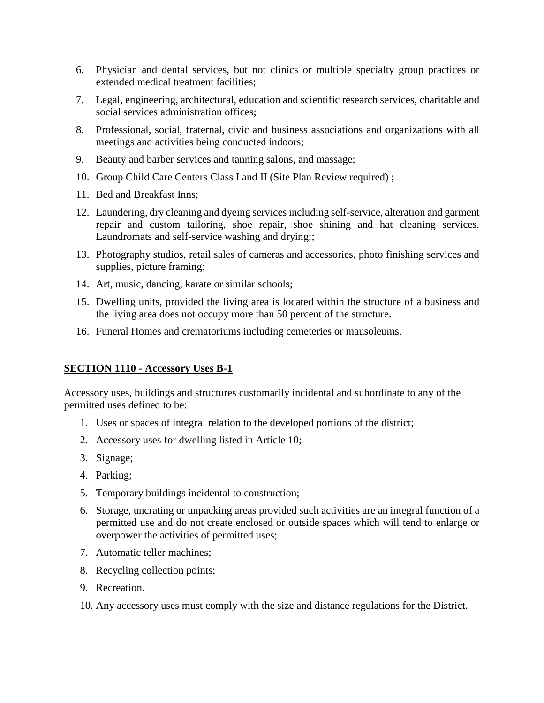- 6. Physician and dental services, but not clinics or multiple specialty group practices or extended medical treatment facilities;
- 7. Legal, engineering, architectural, education and scientific research services, charitable and social services administration offices;
- 8. Professional, social, fraternal, civic and business associations and organizations with all meetings and activities being conducted indoors;
- 9. Beauty and barber services and tanning salons, and massage;
- 10. Group Child Care Centers Class I and II (Site Plan Review required) ;
- 11. Bed and Breakfast Inns;
- 12. Laundering, dry cleaning and dyeing services including self-service, alteration and garment repair and custom tailoring, shoe repair, shoe shining and hat cleaning services. Laundromats and self-service washing and drying;;
- 13. Photography studios, retail sales of cameras and accessories, photo finishing services and supplies, picture framing;
- 14. Art, music, dancing, karate or similar schools;
- 15. Dwelling units, provided the living area is located within the structure of a business and the living area does not occupy more than 50 percent of the structure.
- 16. Funeral Homes and crematoriums including cemeteries or mausoleums.

#### **SECTION 1110 - Accessory Uses B-1**

Accessory uses, buildings and structures customarily incidental and subordinate to any of the permitted uses defined to be:

- 1. Uses or spaces of integral relation to the developed portions of the district;
- 2. Accessory uses for dwelling listed in Article 10;
- 3. Signage;
- 4. Parking;
- 5. Temporary buildings incidental to construction;
- 6. Storage, uncrating or unpacking areas provided such activities are an integral function of a permitted use and do not create enclosed or outside spaces which will tend to enlarge or overpower the activities of permitted uses;
- 7. Automatic teller machines;
- 8. Recycling collection points;
- 9. Recreation.
- 10. Any accessory uses must comply with the size and distance regulations for the District.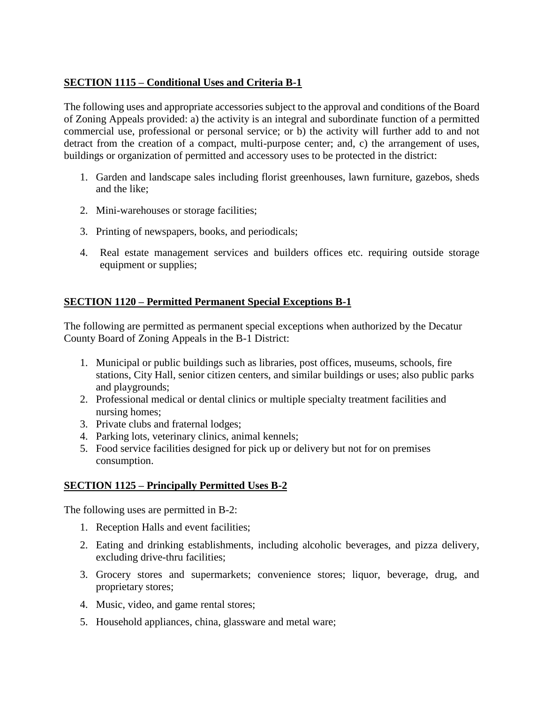## **SECTION 1115 – Conditional Uses and Criteria B-1**

The following uses and appropriate accessories subject to the approval and conditions of the Board of Zoning Appeals provided: a) the activity is an integral and subordinate function of a permitted commercial use, professional or personal service; or b) the activity will further add to and not detract from the creation of a compact, multi-purpose center; and, c) the arrangement of uses, buildings or organization of permitted and accessory uses to be protected in the district:

- 1. Garden and landscape sales including florist greenhouses, lawn furniture, gazebos, sheds and the like;
- 2. Mini-warehouses or storage facilities;
- 3. Printing of newspapers, books, and periodicals;
- 4. Real estate management services and builders offices etc. requiring outside storage equipment or supplies;

## **SECTION 1120 – Permitted Permanent Special Exceptions B-1**

The following are permitted as permanent special exceptions when authorized by the Decatur County Board of Zoning Appeals in the B-1 District:

- 1. Municipal or public buildings such as libraries, post offices, museums, schools, fire stations, City Hall, senior citizen centers, and similar buildings or uses; also public parks and playgrounds;
- 2. Professional medical or dental clinics or multiple specialty treatment facilities and nursing homes;
- 3. Private clubs and fraternal lodges;
- 4. Parking lots, veterinary clinics, animal kennels;
- 5. Food service facilities designed for pick up or delivery but not for on premises consumption.

## **SECTION 1125 – Principally Permitted Uses B-2**

The following uses are permitted in B-2:

- 1. Reception Halls and event facilities;
- 2. Eating and drinking establishments, including alcoholic beverages, and pizza delivery, excluding drive-thru facilities;
- 3. Grocery stores and supermarkets; convenience stores; liquor, beverage, drug, and proprietary stores;
- 4. Music, video, and game rental stores;
- 5. Household appliances, china, glassware and metal ware;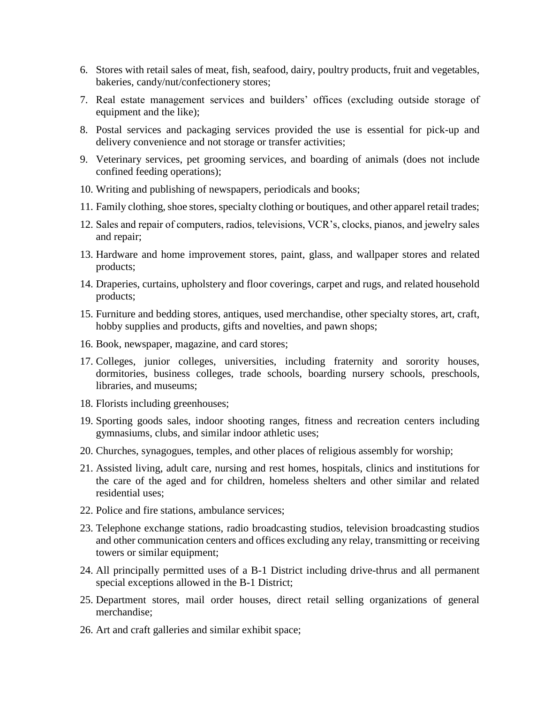- 6. Stores with retail sales of meat, fish, seafood, dairy, poultry products, fruit and vegetables, bakeries, candy/nut/confectionery stores;
- 7. Real estate management services and builders' offices (excluding outside storage of equipment and the like);
- 8. Postal services and packaging services provided the use is essential for pick-up and delivery convenience and not storage or transfer activities;
- 9. Veterinary services, pet grooming services, and boarding of animals (does not include confined feeding operations);
- 10. Writing and publishing of newspapers, periodicals and books;
- 11. Family clothing, shoe stores, specialty clothing or boutiques, and other apparel retail trades;
- 12. Sales and repair of computers, radios, televisions, VCR's, clocks, pianos, and jewelry sales and repair;
- 13. Hardware and home improvement stores, paint, glass, and wallpaper stores and related products;
- 14. Draperies, curtains, upholstery and floor coverings, carpet and rugs, and related household products;
- 15. Furniture and bedding stores, antiques, used merchandise, other specialty stores, art, craft, hobby supplies and products, gifts and novelties, and pawn shops;
- 16. Book, newspaper, magazine, and card stores;
- 17. Colleges, junior colleges, universities, including fraternity and sorority houses, dormitories, business colleges, trade schools, boarding nursery schools, preschools, libraries, and museums;
- 18. Florists including greenhouses;
- 19. Sporting goods sales, indoor shooting ranges, fitness and recreation centers including gymnasiums, clubs, and similar indoor athletic uses;
- 20. Churches, synagogues, temples, and other places of religious assembly for worship;
- 21. Assisted living, adult care, nursing and rest homes, hospitals, clinics and institutions for the care of the aged and for children, homeless shelters and other similar and related residential uses;
- 22. Police and fire stations, ambulance services;
- 23. Telephone exchange stations, radio broadcasting studios, television broadcasting studios and other communication centers and offices excluding any relay, transmitting or receiving towers or similar equipment;
- 24. All principally permitted uses of a B-1 District including drive-thrus and all permanent special exceptions allowed in the B-1 District;
- 25. Department stores, mail order houses, direct retail selling organizations of general merchandise;
- 26. Art and craft galleries and similar exhibit space;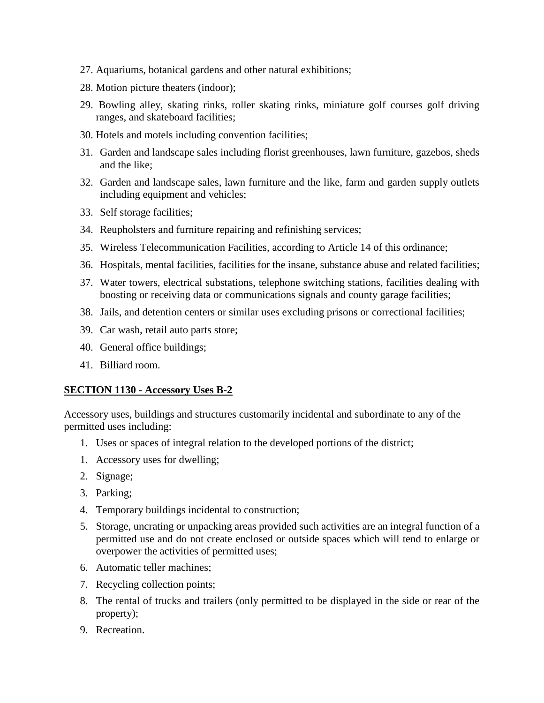- 27. Aquariums, botanical gardens and other natural exhibitions;
- 28. Motion picture theaters (indoor);
- 29. Bowling alley, skating rinks, roller skating rinks, miniature golf courses golf driving ranges, and skateboard facilities;
- 30. Hotels and motels including convention facilities;
- 31. Garden and landscape sales including florist greenhouses, lawn furniture, gazebos, sheds and the like;
- 32. Garden and landscape sales, lawn furniture and the like, farm and garden supply outlets including equipment and vehicles;
- 33. Self storage facilities;
- 34. Reupholsters and furniture repairing and refinishing services;
- 35. Wireless Telecommunication Facilities, according to Article 14 of this ordinance;
- 36. Hospitals, mental facilities, facilities for the insane, substance abuse and related facilities;
- 37. Water towers, electrical substations, telephone switching stations, facilities dealing with boosting or receiving data or communications signals and county garage facilities;
- 38. Jails, and detention centers or similar uses excluding prisons or correctional facilities;
- 39. Car wash, retail auto parts store;
- 40. General office buildings;
- 41. Billiard room.

#### **SECTION 1130 - Accessory Uses B-2**

Accessory uses, buildings and structures customarily incidental and subordinate to any of the permitted uses including:

- 1. Uses or spaces of integral relation to the developed portions of the district;
- 1. Accessory uses for dwelling;
- 2. Signage;
- 3. Parking;
- 4. Temporary buildings incidental to construction;
- 5. Storage, uncrating or unpacking areas provided such activities are an integral function of a permitted use and do not create enclosed or outside spaces which will tend to enlarge or overpower the activities of permitted uses;
- 6. Automatic teller machines;
- 7. Recycling collection points;
- 8. The rental of trucks and trailers (only permitted to be displayed in the side or rear of the property);
- 9. Recreation.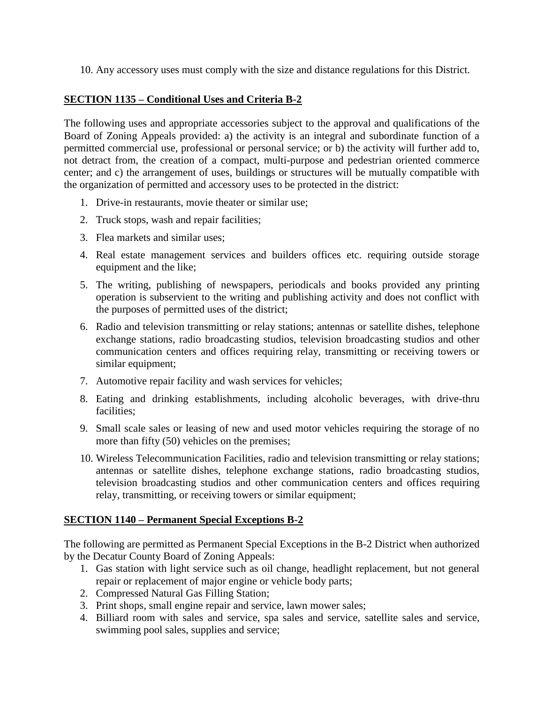10. Any accessory uses must comply with the size and distance regulations for this District.

### **SECTION 1135 – Conditional Uses and Criteria B-2**

The following uses and appropriate accessories subject to the approval and qualifications of the Board of Zoning Appeals provided: a) the activity is an integral and subordinate function of a permitted commercial use, professional or personal service; or b) the activity will further add to, not detract from, the creation of a compact, multi-purpose and pedestrian oriented commerce center; and c) the arrangement of uses, buildings or structures will be mutually compatible with the organization of permitted and accessory uses to be protected in the district:

- 1. Drive-in restaurants, movie theater or similar use;
- 2. Truck stops, wash and repair facilities;
- 3. Flea markets and similar uses;
- 4. Real estate management services and builders offices etc. requiring outside storage equipment and the like;
- 5. The writing, publishing of newspapers, periodicals and books provided any printing operation is subservient to the writing and publishing activity and does not conflict with the purposes of permitted uses of the district;
- 6. Radio and television transmitting or relay stations; antennas or satellite dishes, telephone exchange stations, radio broadcasting studios, television broadcasting studios and other communication centers and offices requiring relay, transmitting or receiving towers or similar equipment;
- 7. Automotive repair facility and wash services for vehicles;
- 8. Eating and drinking establishments, including alcoholic beverages, with drive-thru facilities;
- 9. Small scale sales or leasing of new and used motor vehicles requiring the storage of no more than fifty (50) vehicles on the premises;
- 10. Wireless Telecommunication Facilities, radio and television transmitting or relay stations; antennas or satellite dishes, telephone exchange stations, radio broadcasting studios, television broadcasting studios and other communication centers and offices requiring relay, transmitting, or receiving towers or similar equipment;

#### **SECTION 1140 – Permanent Special Exceptions B-2**

The following are permitted as Permanent Special Exceptions in the B-2 District when authorized by the Decatur County Board of Zoning Appeals:

- 1. Gas station with light service such as oil change, headlight replacement, but not general repair or replacement of major engine or vehicle body parts;
- 2. Compressed Natural Gas Filling Station;
- 3. Print shops, small engine repair and service, lawn mower sales;
- 4. Billiard room with sales and service, spa sales and service, satellite sales and service, swimming pool sales, supplies and service;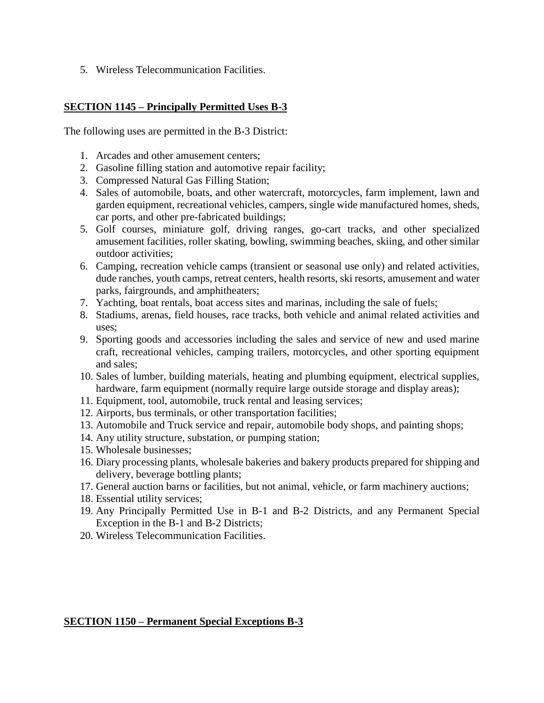5. Wireless Telecommunication Facilities.

## **SECTION 1145 – Principally Permitted Uses B-3**

The following uses are permitted in the B-3 District:

- 1. Arcades and other amusement centers;
- 2. Gasoline filling station and automotive repair facility;
- 3. Compressed Natural Gas Filling Station;
- 4. Sales of automobile, boats, and other watercraft, motorcycles, farm implement, lawn and garden equipment, recreational vehicles, campers, single wide manufactured homes, sheds, car ports, and other pre-fabricated buildings;
- 5. Golf courses, miniature golf, driving ranges, go-cart tracks, and other specialized amusement facilities, roller skating, bowling, swimming beaches, skiing, and other similar outdoor activities;
- 6. Camping, recreation vehicle camps (transient or seasonal use only) and related activities, dude ranches, youth camps, retreat centers, health resorts, ski resorts, amusement and water parks, fairgrounds, and amphitheaters;
- 7. Yachting, boat rentals, boat access sites and marinas, including the sale of fuels;
- 8. Stadiums, arenas, field houses, race tracks, both vehicle and animal related activities and uses;
- 9. Sporting goods and accessories including the sales and service of new and used marine craft, recreational vehicles, camping trailers, motorcycles, and other sporting equipment and sales;
- 10. Sales of lumber, building materials, heating and plumbing equipment, electrical supplies, hardware, farm equipment (normally require large outside storage and display areas);
- 11. Equipment, tool, automobile, truck rental and leasing services;
- 12. Airports, bus terminals, or other transportation facilities;
- 13. Automobile and Truck service and repair, automobile body shops, and painting shops;
- 14. Any utility structure, substation, or pumping station;
- 15. Wholesale businesses;
- 16. Diary processing plants, wholesale bakeries and bakery products prepared for shipping and delivery, beverage bottling plants;
- 17. General auction barns or facilities, but not animal, vehicle, or farm machinery auctions;
- 18. Essential utility services;
- 19. Any Principally Permitted Use in B-1 and B-2 Districts, and any Permanent Special Exception in the B-1 and B-2 Districts;
- 20. Wireless Telecommunication Facilities.

#### **SECTION 1150 – Permanent Special Exceptions B-3**